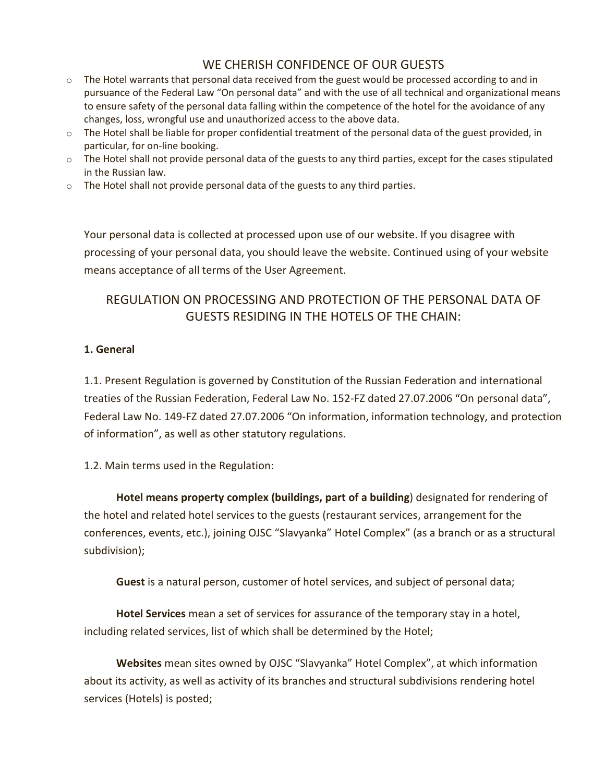# WE CHERISH CONFIDENCE OF OUR GUESTS

- $\circ$  The Hotel warrants that personal data received from the guest would be processed according to and in pursuance of the Federal Law "On personal data" and with the use of all technical and organizational means to ensure safety of the personal data falling within the competence of the hotel for the avoidance of any changes, loss, wrongful use and unauthorized access to the above data.
- $\circ$  The Hotel shall be liable for proper confidential treatment of the personal data of the guest provided, in particular, for on-line booking.
- $\circ$  The Hotel shall not provide personal data of the guests to any third parties, except for the cases stipulated in the Russian law.
- $\circ$  The Hotel shall not provide personal data of the guests to any third parties.

Your personal data is collected at processed upon use of our website. If you disagree with processing of your personal data, you should leave the website. Continued using of your website means acceptance of all terms of the User Agreement.

# REGULATION ON PROCESSING AND PROTECTION OF THE PERSONAL DATA OF GUESTS RESIDING IN THE HOTELS OF THE CHAIN:

#### **1. General**

1.1. Present Regulation is governed by Constitution of the Russian Federation and international treaties of the Russian Federation, Federal Law No. 152-FZ dated 27.07.2006 "On personal data", Federal Law No. 149-FZ dated 27.07.2006 "On information, information technology, and protection of information", as well as other statutory regulations.

1.2. Main terms used in the Regulation:

**Hotel means property complex (buildings, part of a building**) designated for rendering of the hotel and related hotel services to the guests (restaurant services, arrangement for the conferences, events, etc.), joining OJSC "Slavyanka" Hotel Complex" (as a branch or as a structural subdivision);

**Guest** is a natural person, customer of hotel services, and subject of personal data;

**Hotel Services** mean a set of services for assurance of the temporary stay in a hotel, including related services, list of which shall be determined by the Hotel;

**Websites** mean sites owned by OJSC "Slavyanka" Hotel Complex", at which information about its activity, as well as activity of its branches and structural subdivisions rendering hotel services (Hotels) is posted;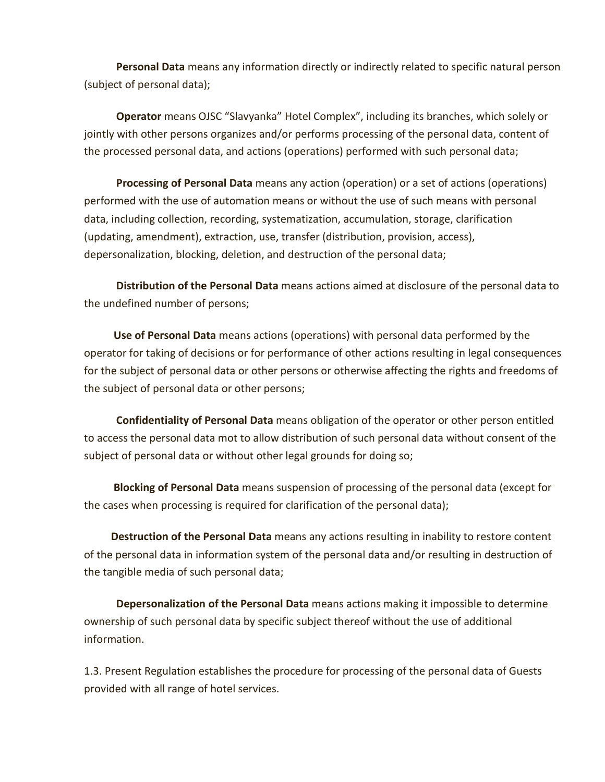**Personal Data** means any information directly or indirectly related to specific natural person (subject of personal data);

**Operator** means OJSC "Slavyanka" Hotel Complex", including its branches, which solely or jointly with other persons organizes and/or performs processing of the personal data, content of the processed personal data, and actions (operations) performed with such personal data;

**Processing of Personal Data** means any action (operation) or a set of actions (operations) performed with the use of automation means or without the use of such means with personal data, including collection, recording, systematization, accumulation, storage, clarification (updating, amendment), extraction, use, transfer (distribution, provision, access), depersonalization, blocking, deletion, and destruction of the personal data;

**Distribution of the Personal Data** means actions aimed at disclosure of the personal data to the undefined number of persons;

**Use of Personal Data** means actions (operations) with personal data performed by the operator for taking of decisions or for performance of other actions resulting in legal consequences for the subject of personal data or other persons or otherwise affecting the rights and freedoms of the subject of personal data or other persons;

**Confidentiality of Personal Data** means obligation of the operator or other person entitled to access the personal data mot to allow distribution of such personal data without consent of the subject of personal data or without other legal grounds for doing so;

**Blocking of Personal Data** means suspension of processing of the personal data (except for the cases when processing is required for clarification of the personal data);

**Destruction of the Personal Data** means any actions resulting in inability to restore content of the personal data in information system of the personal data and/or resulting in destruction of the tangible media of such personal data;

**Depersonalization of the Personal Data** means actions making it impossible to determine ownership of such personal data by specific subject thereof without the use of additional information.

1.3. Present Regulation establishes the procedure for processing of the personal data of Guests provided with all range of hotel services.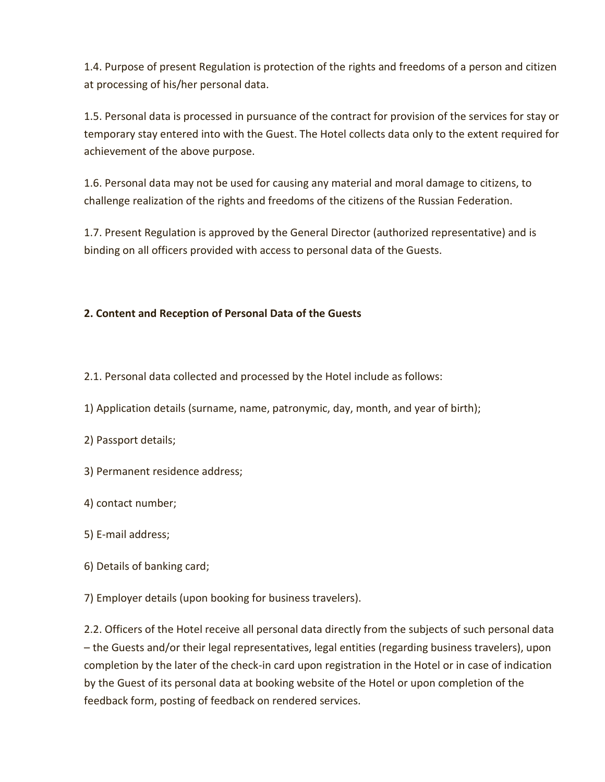1.4. Purpose of present Regulation is protection of the rights and freedoms of a person and citizen at processing of his/her personal data.

1.5. Personal data is processed in pursuance of the contract for provision of the services for stay or temporary stay entered into with the Guest. The Hotel collects data only to the extent required for achievement of the above purpose.

1.6. Personal data may not be used for causing any material and moral damage to citizens, to challenge realization of the rights and freedoms of the citizens of the Russian Federation.

1.7. Present Regulation is approved by the General Director (authorized representative) and is binding on all officers provided with access to personal data of the Guests.

## **2. Content and Reception of Personal Data of the Guests**

2.1. Personal data collected and processed by the Hotel include as follows:

- 1) Application details (surname, name, patronymic, day, month, and year of birth);
- 2) Passport details;
- 3) Permanent residence address;
- 4) contact number;
- 5) E-mail address;
- 6) Details of banking card;
- 7) Employer details (upon booking for business travelers).

2.2. Officers of the Hotel receive all personal data directly from the subjects of such personal data – the Guests and/or their legal representatives, legal entities (regarding business travelers), upon completion by the later of the check-in card upon registration in the Hotel or in case of indication by the Guest of its personal data at booking website of the Hotel or upon completion of the feedback form, posting of feedback on rendered services.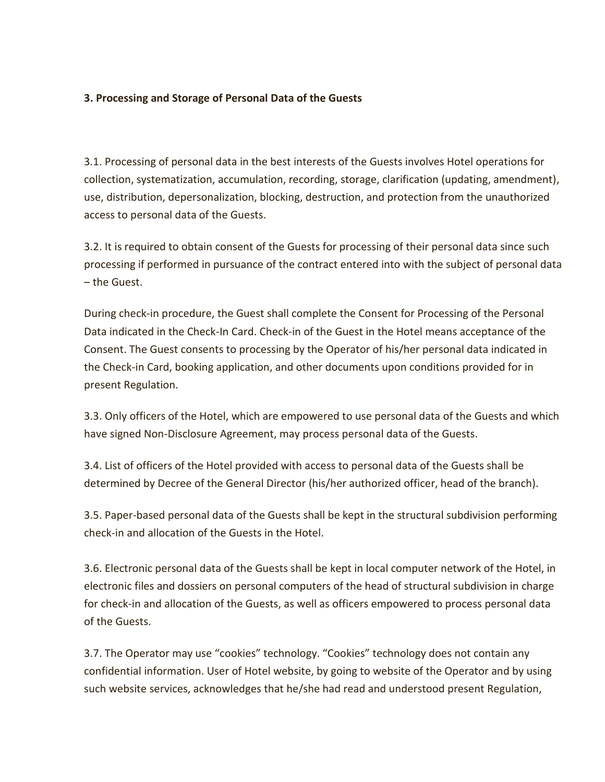#### **3. Processing and Storage of Personal Data of the Guests**

3.1. Processing of personal data in the best interests of the Guests involves Hotel operations for collection, systematization, accumulation, recording, storage, clarification (updating, amendment), use, distribution, depersonalization, blocking, destruction, and protection from the unauthorized access to personal data of the Guests.

3.2. It is required to obtain consent of the Guests for processing of their personal data since such processing if performed in pursuance of the contract entered into with the subject of personal data – the Guest.

During check-in procedure, the Guest shall complete the Consent for Processing of the Personal Data indicated in the Check-In Card. Check-in of the Guest in the Hotel means acceptance of the Consent. The Guest consents to processing by the Operator of his/her personal data indicated in the Check-in Card, booking application, and other documents upon conditions provided for in present Regulation.

3.3. Only officers of the Hotel, which are empowered to use personal data of the Guests and which have signed Non-Disclosure Agreement, may process personal data of the Guests.

3.4. List of officers of the Hotel provided with access to personal data of the Guests shall be determined by Decree of the General Director (his/her authorized officer, head of the branch).

3.5. Paper-based personal data of the Guests shall be kept in the structural subdivision performing check-in and allocation of the Guests in the Hotel.

3.6. Electronic personal data of the Guests shall be kept in local computer network of the Hotel, in electronic files and dossiers on personal computers of the head of structural subdivision in charge for check-in and allocation of the Guests, as well as officers empowered to process personal data of the Guests.

3.7. The Operator may use "cookies" technology. "Cookies" technology does not contain any confidential information. User of Hotel website, by going to website of the Operator and by using such website services, acknowledges that he/she had read and understood present Regulation,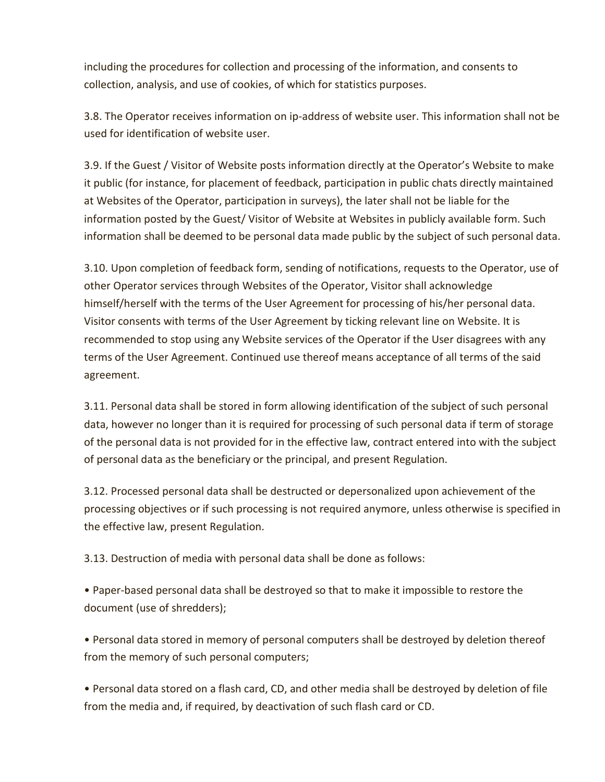including the procedures for collection and processing of the information, and consents to collection, analysis, and use of cookies, of which for statistics purposes.

3.8. The Operator receives information on ip-address of website user. This information shall not be used for identification of website user.

3.9. If the Guest / Visitor of Website posts information directly at the Operator's Website to make it public (for instance, for placement of feedback, participation in public chats directly maintained at Websites of the Operator, participation in surveys), the later shall not be liable for the information posted by the Guest/ Visitor of Website at Websites in publicly available form. Such information shall be deemed to be personal data made public by the subject of such personal data.

3.10. Upon completion of feedback form, sending of notifications, requests to the Operator, use of other Operator services through Websites of the Operator, Visitor shall acknowledge himself/herself with the terms of the User Agreement for processing of his/her personal data. Visitor consents with terms of the User Agreement by ticking relevant line on Website. It is recommended to stop using any Website services of the Operator if the User disagrees with any terms of the User Agreement. Continued use thereof means acceptance of all terms of the said agreement.

3.11. Personal data shall be stored in form allowing identification of the subject of such personal data, however no longer than it is required for processing of such personal data if term of storage of the personal data is not provided for in the effective law, contract entered into with the subject of personal data as the beneficiary or the principal, and present Regulation.

3.12. Processed personal data shall be destructed or depersonalized upon achievement of the processing objectives or if such processing is not required anymore, unless otherwise is specified in the effective law, present Regulation.

3.13. Destruction of media with personal data shall be done as follows:

• Paper-based personal data shall be destroyed so that to make it impossible to restore the document (use of shredders);

• Personal data stored in memory of personal computers shall be destroyed by deletion thereof from the memory of such personal computers;

• Personal data stored on a flash card, CD, and other media shall be destroyed by deletion of file from the media and, if required, by deactivation of such flash card or CD.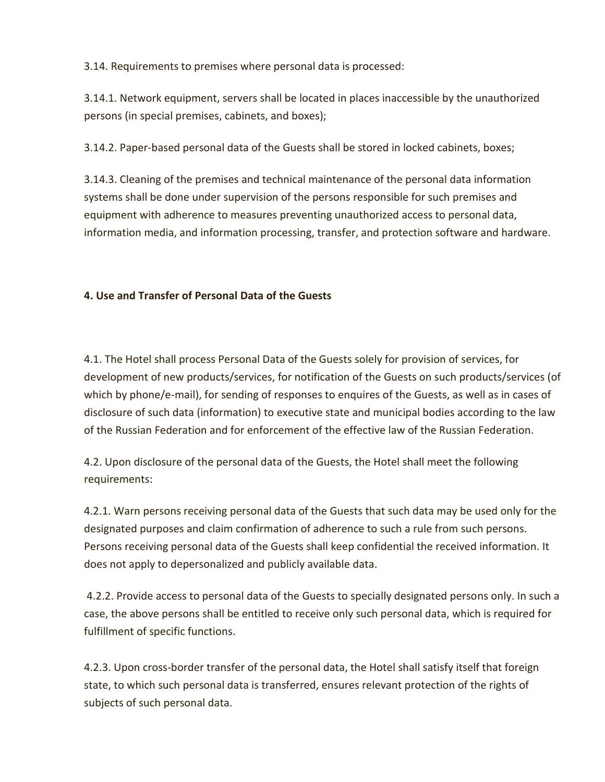3.14. Requirements to premises where personal data is processed:

3.14.1. Network equipment, servers shall be located in places inaccessible by the unauthorized persons (in special premises, cabinets, and boxes);

3.14.2. Paper-based personal data of the Guests shall be stored in locked cabinets, boxes;

3.14.3. Cleaning of the premises and technical maintenance of the personal data information systems shall be done under supervision of the persons responsible for such premises and equipment with adherence to measures preventing unauthorized access to personal data, information media, and information processing, transfer, and protection software and hardware.

# **4. Use and Transfer of Personal Data of the Guests**

4.1. The Hotel shall process Personal Data of the Guests solely for provision of services, for development of new products/services, for notification of the Guests on such products/services (of which by phone/e-mail), for sending of responses to enquires of the Guests, as well as in cases of disclosure of such data (information) to executive state and municipal bodies according to the law of the Russian Federation and for enforcement of the effective law of the Russian Federation.

4.2. Upon disclosure of the personal data of the Guests, the Hotel shall meet the following requirements:

4.2.1. Warn persons receiving personal data of the Guests that such data may be used only for the designated purposes and claim confirmation of adherence to such a rule from such persons. Persons receiving personal data of the Guests shall keep confidential the received information. It does not apply to depersonalized and publicly available data.

4.2.2. Provide access to personal data of the Guests to specially designated persons only. In such a case, the above persons shall be entitled to receive only such personal data, which is required for fulfillment of specific functions.

4.2.3. Upon cross-border transfer of the personal data, the Hotel shall satisfy itself that foreign state, to which such personal data is transferred, ensures relevant protection of the rights of subjects of such personal data.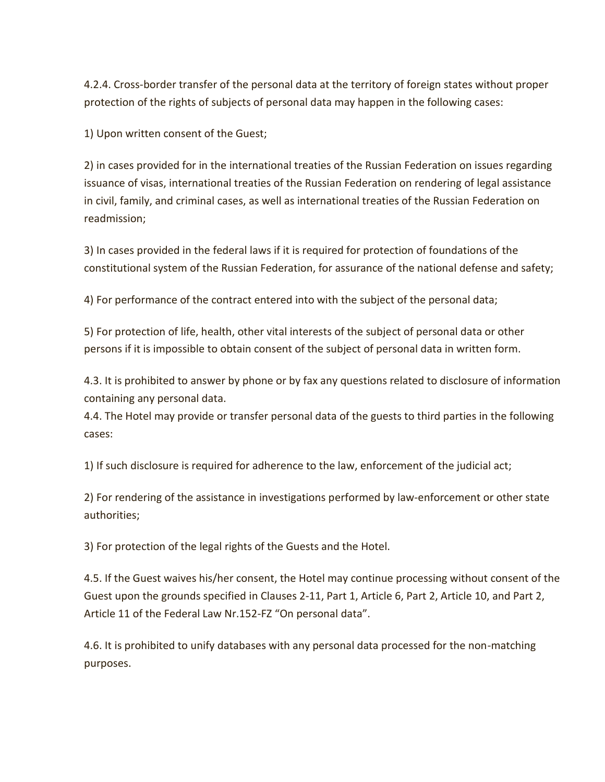4.2.4. Cross-border transfer of the personal data at the territory of foreign states without proper protection of the rights of subjects of personal data may happen in the following cases:

1) Upon written consent of the Guest;

2) in cases provided for in the international treaties of the Russian Federation on issues regarding issuance of visas, international treaties of the Russian Federation on rendering of legal assistance in civil, family, and criminal cases, as well as international treaties of the Russian Federation on readmission;

3) In cases provided in the federal laws if it is required for protection of foundations of the constitutional system of the Russian Federation, for assurance of the national defense and safety;

4) For performance of the contract entered into with the subject of the personal data;

5) For protection of life, health, other vital interests of the subject of personal data or other persons if it is impossible to obtain consent of the subject of personal data in written form.

4.3. It is prohibited to answer by phone or by fax any questions related to disclosure of information containing any personal data.

4.4. The Hotel may provide or transfer personal data of the guests to third parties in the following cases:

1) If such disclosure is required for adherence to the law, enforcement of the judicial act;

2) For rendering of the assistance in investigations performed by law-enforcement or other state authorities;

3) For protection of the legal rights of the Guests and the Hotel.

4.5. If the Guest waives his/her consent, the Hotel may continue processing without consent of the Guest upon the grounds specified in Clauses 2-11, Part 1, Article 6, Part 2, Article 10, and Part 2, Article 11 of the Federal Law Nr.152-FZ "On personal data".

4.6. It is prohibited to unify databases with any personal data processed for the non-matching purposes.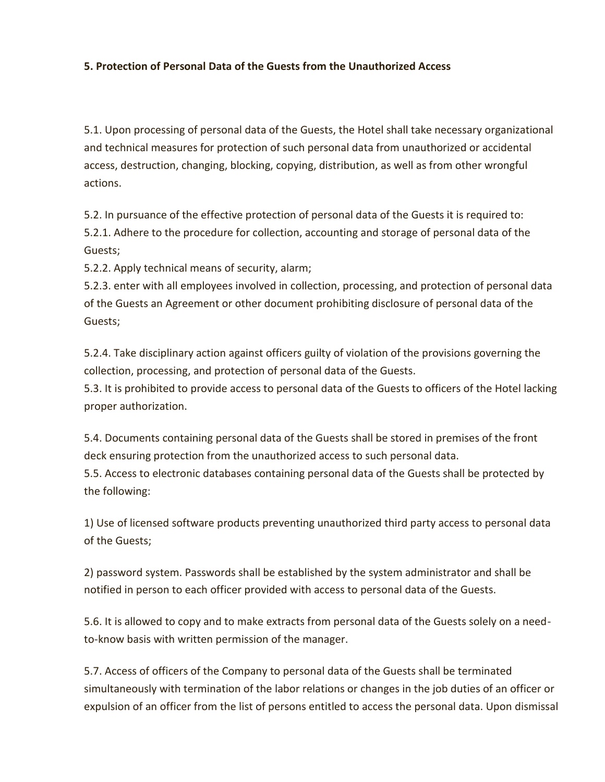#### **5. Protection of Personal Data of the Guests from the Unauthorized Access**

5.1. Upon processing of personal data of the Guests, the Hotel shall take necessary organizational and technical measures for protection of such personal data from unauthorized or accidental access, destruction, changing, blocking, copying, distribution, as well as from other wrongful actions.

5.2. In pursuance of the effective protection of personal data of the Guests it is required to: 5.2.1. Adhere to the procedure for collection, accounting and storage of personal data of the Guests;

5.2.2. Apply technical means of security, alarm;

5.2.3. enter with all employees involved in collection, processing, and protection of personal data of the Guests an Agreement or other document prohibiting disclosure of personal data of the Guests;

5.2.4. Take disciplinary action against officers guilty of violation of the provisions governing the collection, processing, and protection of personal data of the Guests.

5.3. It is prohibited to provide access to personal data of the Guests to officers of the Hotel lacking proper authorization.

5.4. Documents containing personal data of the Guests shall be stored in premises of the front deck ensuring protection from the unauthorized access to such personal data.

5.5. Access to electronic databases containing personal data of the Guests shall be protected by the following:

1) Use of licensed software products preventing unauthorized third party access to personal data of the Guests;

2) password system. Passwords shall be established by the system administrator and shall be notified in person to each officer provided with access to personal data of the Guests.

5.6. It is allowed to copy and to make extracts from personal data of the Guests solely on a needto-know basis with written permission of the manager.

5.7. Access of officers of the Company to personal data of the Guests shall be terminated simultaneously with termination of the labor relations or changes in the job duties of an officer or expulsion of an officer from the list of persons entitled to access the personal data. Upon dismissal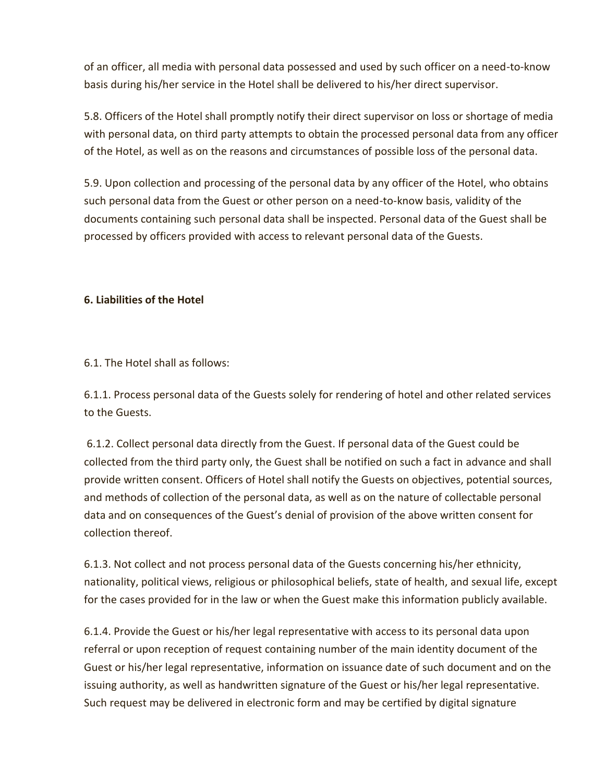of an officer, all media with personal data possessed and used by such officer on a need-to-know basis during his/her service in the Hotel shall be delivered to his/her direct supervisor.

5.8. Officers of the Hotel shall promptly notify their direct supervisor on loss or shortage of media with personal data, on third party attempts to obtain the processed personal data from any officer of the Hotel, as well as on the reasons and circumstances of possible loss of the personal data.

5.9. Upon collection and processing of the personal data by any officer of the Hotel, who obtains such personal data from the Guest or other person on a need-to-know basis, validity of the documents containing such personal data shall be inspected. Personal data of the Guest shall be processed by officers provided with access to relevant personal data of the Guests.

#### **6. Liabilities of the Hotel**

6.1. The Hotel shall as follows:

6.1.1. Process personal data of the Guests solely for rendering of hotel and other related services to the Guests.

6.1.2. Collect personal data directly from the Guest. If personal data of the Guest could be collected from the third party only, the Guest shall be notified on such a fact in advance and shall provide written consent. Officers of Hotel shall notify the Guests on objectives, potential sources, and methods of collection of the personal data, as well as on the nature of collectable personal data and on consequences of the Guest's denial of provision of the above written consent for collection thereof.

6.1.3. Not collect and not process personal data of the Guests concerning his/her ethnicity, nationality, political views, religious or philosophical beliefs, state of health, and sexual life, except for the cases provided for in the law or when the Guest make this information publicly available.

6.1.4. Provide the Guest or his/her legal representative with access to its personal data upon referral or upon reception of request containing number of the main identity document of the Guest or his/her legal representative, information on issuance date of such document and on the issuing authority, as well as handwritten signature of the Guest or his/her legal representative. Such request may be delivered in electronic form and may be certified by digital signature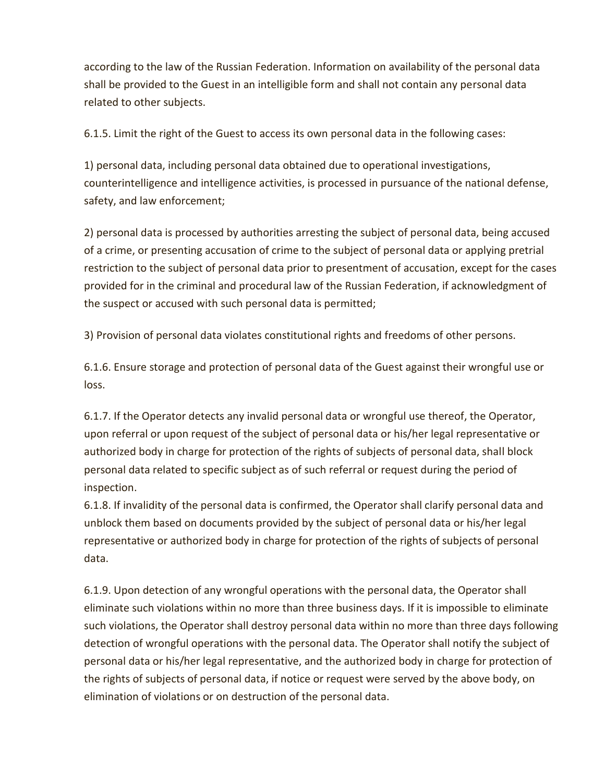according to the law of the Russian Federation. Information on availability of the personal data shall be provided to the Guest in an intelligible form and shall not contain any personal data related to other subjects.

6.1.5. Limit the right of the Guest to access its own personal data in the following cases:

1) personal data, including personal data obtained due to operational investigations, counterintelligence and intelligence activities, is processed in pursuance of the national defense, safety, and law enforcement;

2) personal data is processed by authorities arresting the subject of personal data, being accused of a crime, or presenting accusation of crime to the subject of personal data or applying pretrial restriction to the subject of personal data prior to presentment of accusation, except for the cases provided for in the criminal and procedural law of the Russian Federation, if acknowledgment of the suspect or accused with such personal data is permitted;

3) Provision of personal data violates constitutional rights and freedoms of other persons.

6.1.6. Ensure storage and protection of personal data of the Guest against their wrongful use or loss.

6.1.7. If the Operator detects any invalid personal data or wrongful use thereof, the Operator, upon referral or upon request of the subject of personal data or his/her legal representative or authorized body in charge for protection of the rights of subjects of personal data, shall block personal data related to specific subject as of such referral or request during the period of inspection.

6.1.8. If invalidity of the personal data is confirmed, the Operator shall clarify personal data and unblock them based on documents provided by the subject of personal data or his/her legal representative or authorized body in charge for protection of the rights of subjects of personal data.

6.1.9. Upon detection of any wrongful operations with the personal data, the Operator shall eliminate such violations within no more than three business days. If it is impossible to eliminate such violations, the Operator shall destroy personal data within no more than three days following detection of wrongful operations with the personal data. The Operator shall notify the subject of personal data or his/her legal representative, and the authorized body in charge for protection of the rights of subjects of personal data, if notice or request were served by the above body, on elimination of violations or on destruction of the personal data.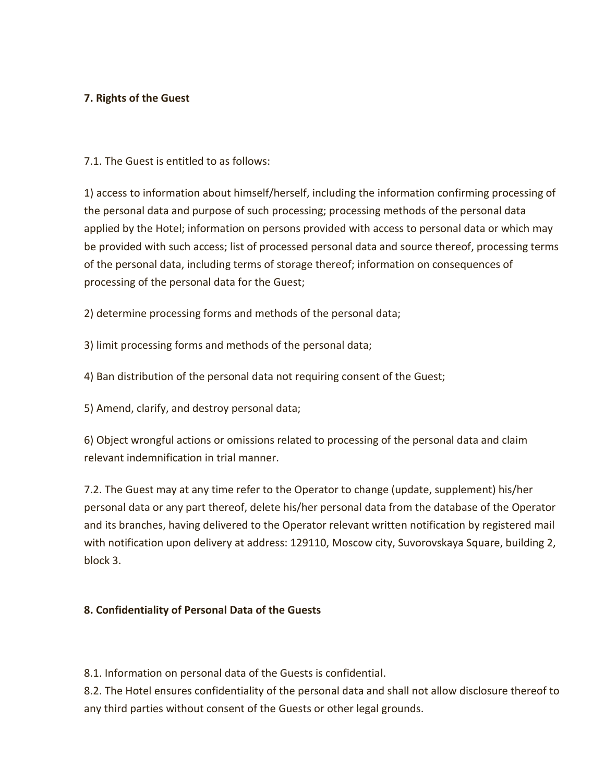## **7. Rights of the Guest**

7.1. The Guest is entitled to as follows:

1) access to information about himself/herself, including the information confirming processing of the personal data and purpose of such processing; processing methods of the personal data applied by the Hotel; information on persons provided with access to personal data or which may be provided with such access; list of processed personal data and source thereof, processing terms of the personal data, including terms of storage thereof; information on consequences of processing of the personal data for the Guest;

2) determine processing forms and methods of the personal data;

3) limit processing forms and methods of the personal data;

4) Ban distribution of the personal data not requiring consent of the Guest;

5) Amend, clarify, and destroy personal data;

6) Object wrongful actions or omissions related to processing of the personal data and claim relevant indemnification in trial manner.

7.2. The Guest may at any time refer to the Operator to change (update, supplement) his/her personal data or any part thereof, delete his/her personal data from the database of the Operator and its branches, having delivered to the Operator relevant written notification by registered mail with notification upon delivery at address: 129110, Moscow city, Suvorovskaya Square, building 2, block 3.

## **8. Confidentiality of Personal Data of the Guests**

8.1. Information on personal data of the Guests is confidential.

8.2. The Hotel ensures confidentiality of the personal data and shall not allow disclosure thereof to any third parties without consent of the Guests or other legal grounds.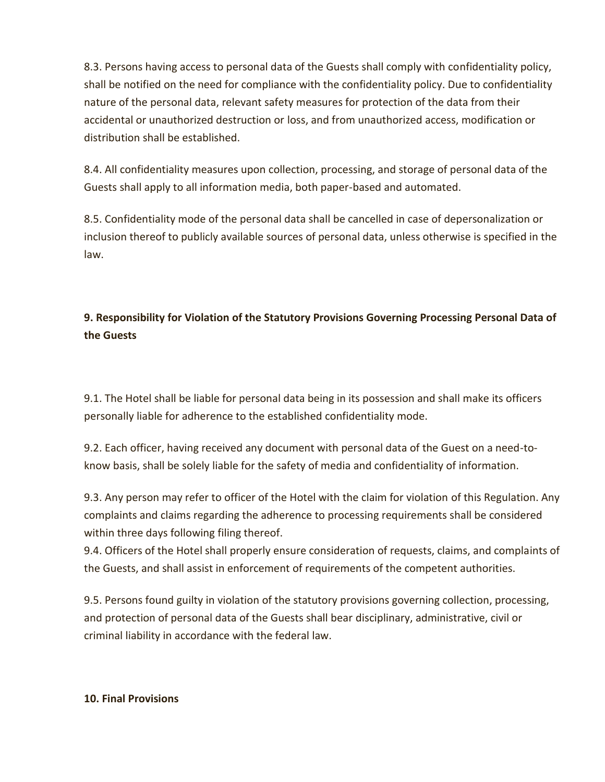8.3. Persons having access to personal data of the Guests shall comply with confidentiality policy, shall be notified on the need for compliance with the confidentiality policy. Due to confidentiality nature of the personal data, relevant safety measures for protection of the data from their accidental or unauthorized destruction or loss, and from unauthorized access, modification or distribution shall be established.

8.4. All confidentiality measures upon collection, processing, and storage of personal data of the Guests shall apply to all information media, both paper-based and automated.

8.5. Confidentiality mode of the personal data shall be cancelled in case of depersonalization or inclusion thereof to publicly available sources of personal data, unless otherwise is specified in the law.

# **9. Responsibility for Violation of the Statutory Provisions Governing Processing Personal Data of the Guests**

9.1. The Hotel shall be liable for personal data being in its possession and shall make its officers personally liable for adherence to the established confidentiality mode.

9.2. Each officer, having received any document with personal data of the Guest on a need-toknow basis, shall be solely liable for the safety of media and confidentiality of information.

9.3. Any person may refer to officer of the Hotel with the claim for violation of this Regulation. Any complaints and claims regarding the adherence to processing requirements shall be considered within three days following filing thereof.

9.4. Officers of the Hotel shall properly ensure consideration of requests, claims, and complaints of the Guests, and shall assist in enforcement of requirements of the competent authorities.

9.5. Persons found guilty in violation of the statutory provisions governing collection, processing, and protection of personal data of the Guests shall bear disciplinary, administrative, civil or criminal liability in accordance with the federal law.

## **10. Final Provisions**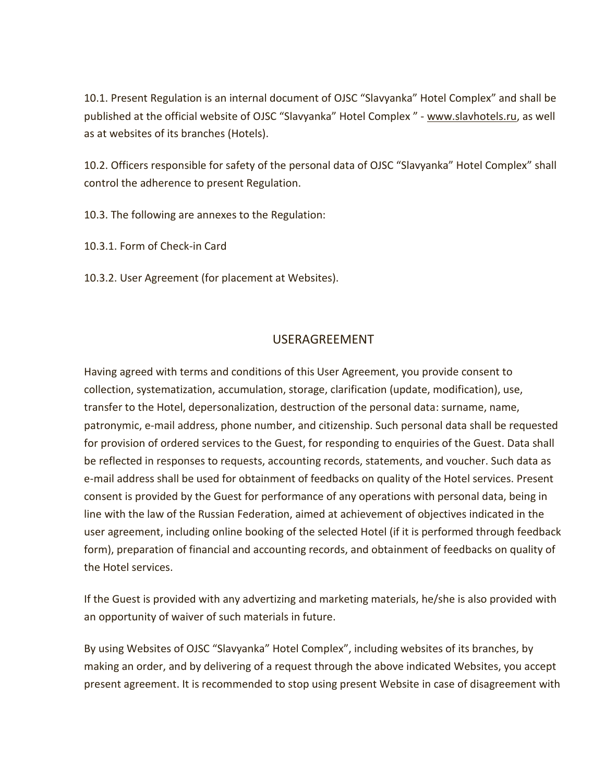10.1. Present Regulation is an internal document of OJSC "Slavyanka" Hotel Complex" and shall be published at the official website of OJSC "Slavyanka" Hotel Complex " - [www.slavhotels.ru,](http://www.slavhotels.ru/) as well as at websites of its branches (Hotels).

10.2. Officers responsible for safety of the personal data of OJSC "Slavyanka" Hotel Complex" shall control the adherence to present Regulation.

10.3. The following are annexes to the Regulation:

10.3.1. Form of Check-in Card

10.3.2. User Agreement (for placement at Websites).

## USERAGREEMENT

Having agreed with terms and conditions of this User Agreement, you provide consent to collection, systematization, accumulation, storage, clarification (update, modification), use, transfer to the Hotel, depersonalization, destruction of the personal data: surname, name, patronymic, e-mail address, phone number, and citizenship. Such personal data shall be requested for provision of ordered services to the Guest, for responding to enquiries of the Guest. Data shall be reflected in responses to requests, accounting records, statements, and voucher. Such data as e-mail address shall be used for obtainment of feedbacks on quality of the Hotel services. Present consent is provided by the Guest for performance of any operations with personal data, being in line with the law of the Russian Federation, aimed at achievement of objectives indicated in the user agreement, including online booking of the selected Hotel (if it is performed through feedback form), preparation of financial and accounting records, and obtainment of feedbacks on quality of the Hotel services.

If the Guest is provided with any advertizing and marketing materials, he/she is also provided with an opportunity of waiver of such materials in future.

By using Websites of OJSC "Slavyanka" Hotel Complex", including websites of its branches, by making an order, and by delivering of a request through the above indicated Websites, you accept present agreement. It is recommended to stop using present Website in case of disagreement with